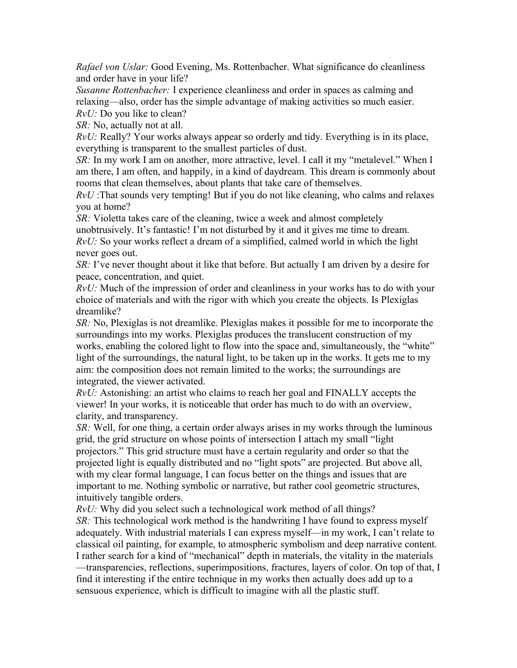*Rafael von Uslar:* Good Evening, Ms. Rottenbacher. What significance do cleanliness and order have in your life?

*Susanne Rottenbacher:* I experience cleanliness and order in spaces as calming and relaxing—also, order has the simple advantage of making activities so much easier. *RvU:* Do you like to clean?

*SR:* No, actually not at all.

*RvU:* Really? Your works always appear so orderly and tidy. Everything is in its place, everything is transparent to the smallest particles of dust.

*SR:* In my work I am on another, more attractive, level. I call it my "metalevel." When I am there, I am often, and happily, in a kind of daydream. This dream is commonly about rooms that clean themselves, about plants that take care of themselves.

*RvU* :That sounds very tempting! But if you do not like cleaning, who calms and relaxes you at home?

*SR:* Violetta takes care of the cleaning, twice a week and almost completely unobtrusively. It's fantastic! I'm not disturbed by it and it gives me time to dream. *RvU:* So your works reflect a dream of a simplified, calmed world in which the light never goes out.

*SR:* I've never thought about it like that before. But actually I am driven by a desire for peace, concentration, and quiet.

*RvU:* Much of the impression of order and cleanliness in your works has to do with your choice of materials and with the rigor with which you create the objects. Is Plexiglas dreamlike?

*SR:* No, Plexiglas is not dreamlike. Plexiglas makes it possible for me to incorporate the surroundings into my works. Plexiglas produces the translucent construction of my works, enabling the colored light to flow into the space and, simultaneously, the "white" light of the surroundings, the natural light, to be taken up in the works. It gets me to my aim: the composition does not remain limited to the works; the surroundings are integrated, the viewer activated.

*RvU:* Astonishing: an artist who claims to reach her goal and FINALLY accepts the viewer! In your works, it is noticeable that order has much to do with an overview, clarity, and transparency.

*SR:* Well, for one thing, a certain order always arises in my works through the luminous grid, the grid structure on whose points of intersection I attach my small "light projectors." This grid structure must have a certain regularity and order so that the projected light is equally distributed and no "light spots" are projected. But above all, with my clear formal language, I can focus better on the things and issues that are important to me. Nothing symbolic or narrative, but rather cool geometric structures, intuitively tangible orders.

*RvU:* Why did you select such a technological work method of all things? *SR:* This technological work method is the handwriting I have found to express myself adequately. With industrial materials I can express myself—in my work, I can't relate to classical oil painting, for example, to atmospheric symbolism and deep narrative content. I rather search for a kind of "mechanical" depth in materials, the vitality in the materials —transparencies, reflections, superimpositions, fractures, layers of color. On top of that, I find it interesting if the entire technique in my works then actually does add up to a sensuous experience, which is difficult to imagine with all the plastic stuff.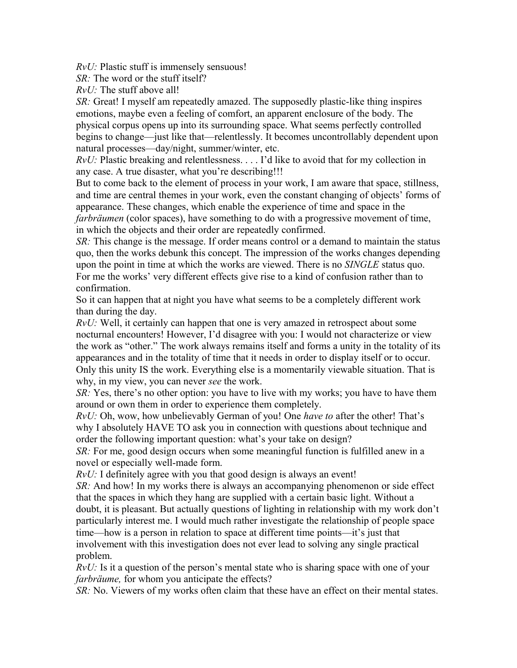*RvU:* Plastic stuff is immensely sensuous!

 $SR:$  The word or the stuff itself?

*RvU:* The stuff above all!

*SR:* Great! I myself am repeatedly amazed. The supposedly plastic-like thing inspires emotions, maybe even a feeling of comfort, an apparent enclosure of the body. The physical corpus opens up into its surrounding space. What seems perfectly controlled begins to change—just like that—relentlessly. It becomes uncontrollably dependent upon natural processes—day/night, summer/winter, etc.

*RvU:* Plastic breaking and relentlessness. . . . I'd like to avoid that for my collection in any case. A true disaster, what you're describing!!!

But to come back to the element of process in your work, I am aware that space, stillness, and time are central themes in your work, even the constant changing of objects' forms of appearance. These changes, which enable the experience of time and space in the *farbräumen* (color spaces), have something to do with a progressive movement of time, in which the objects and their order are repeatedly confirmed.

*SR:* This change is the message. If order means control or a demand to maintain the status quo, then the works debunk this concept. The impression of the works changes depending upon the point in time at which the works are viewed. There is no *SINGLE* status quo. For me the works' very different effects give rise to a kind of confusion rather than to confirmation.

So it can happen that at night you have what seems to be a completely different work than during the day.

*RvU:* Well, it certainly can happen that one is very amazed in retrospect about some nocturnal encounters! However, I'd disagree with you: I would not characterize or view the work as "other." The work always remains itself and forms a unity in the totality of its appearances and in the totality of time that it needs in order to display itself or to occur. Only this unity IS the work. Everything else is a momentarily viewable situation. That is why, in my view, you can never *see* the work.

*SR:* Yes, there's no other option: you have to live with my works; you have to have them around or own them in order to experience them completely.

*RvU:* Oh, wow, how unbelievably German of you! One *have to* after the other! That's why I absolutely HAVE TO ask you in connection with questions about technique and order the following important question: what's your take on design?

*SR:* For me, good design occurs when some meaningful function is fulfilled anew in a novel or especially well-made form.

*RvU:* I definitely agree with you that good design is always an event!

*SR:* And how! In my works there is always an accompanying phenomenon or side effect that the spaces in which they hang are supplied with a certain basic light. Without a doubt, it is pleasant. But actually questions of lighting in relationship with my work don't particularly interest me. I would much rather investigate the relationship of people space time—how is a person in relation to space at different time points—it's just that involvement with this investigation does not ever lead to solving any single practical problem.

*RvU:* Is it a question of the person's mental state who is sharing space with one of your *farbräume,* for whom you anticipate the effects?

*SR:* No. Viewers of my works often claim that these have an effect on their mental states.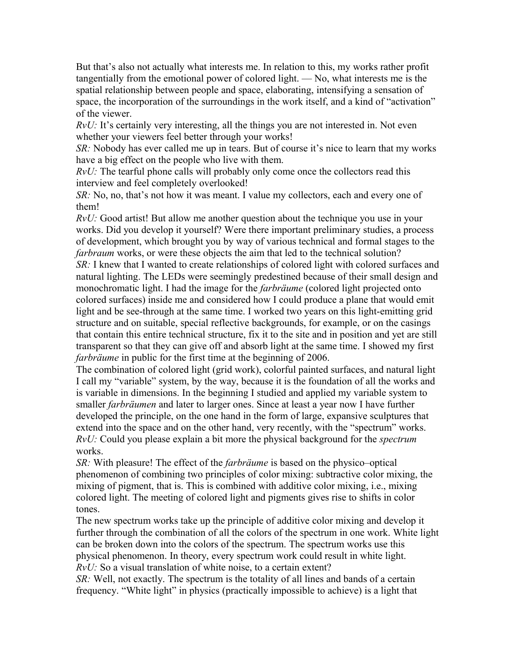But that's also not actually what interests me. In relation to this, my works rather profit tangentially from the emotional power of colored light. — No, what interests me is the spatial relationship between people and space, elaborating, intensifying a sensation of space, the incorporation of the surroundings in the work itself, and a kind of "activation" of the viewer.

*RvU*: It's certainly very interesting, all the things you are not interested in. Not even whether your viewers feel better through your works!

*SR:* Nobody has ever called me up in tears. But of course it's nice to learn that my works have a big effect on the people who live with them.

*RvU:* The tearful phone calls will probably only come once the collectors read this interview and feel completely overlooked!

*SR:* No, no, that's not how it was meant. I value my collectors, each and every one of them!

*RvU:* Good artist! But allow me another question about the technique you use in your works. Did you develop it yourself? Were there important preliminary studies, a process of development, which brought you by way of various technical and formal stages to the *farbraum* works, or were these objects the aim that led to the technical solution?

*SR:* I knew that I wanted to create relationships of colored light with colored surfaces and natural lighting. The LEDs were seemingly predestined because of their small design and monochromatic light. I had the image for the *farbräume* (colored light projected onto colored surfaces) inside me and considered how I could produce a plane that would emit light and be see-through at the same time. I worked two years on this light-emitting grid structure and on suitable, special reflective backgrounds, for example, or on the casings that contain this entire technical structure, fix it to the site and in position and yet are still transparent so that they can give off and absorb light at the same time. I showed my first *farbräume* in public for the first time at the beginning of 2006.

The combination of colored light (grid work), colorful painted surfaces, and natural light I call my "variable" system, by the way, because it is the foundation of all the works and is variable in dimensions. In the beginning I studied and applied my variable system to smaller *farbräumen* and later to larger ones. Since at least a year now I have further developed the principle, on the one hand in the form of large, expansive sculptures that extend into the space and on the other hand, very recently, with the "spectrum" works. *RvU:* Could you please explain a bit more the physical background for the *spectrum* works.

*SR:* With pleasure! The effect of the *farbräume* is based on the physico–optical phenomenon of combining two principles of color mixing: subtractive color mixing, the mixing of pigment, that is. This is combined with additive color mixing, i.e., mixing colored light. The meeting of colored light and pigments gives rise to shifts in color tones.

The new spectrum works take up the principle of additive color mixing and develop it further through the combination of all the colors of the spectrum in one work. White light can be broken down into the colors of the spectrum. The spectrum works use this physical phenomenon. In theory, every spectrum work could result in white light. *RvU:* So a visual translation of white noise, to a certain extent?

*SR:* Well, not exactly. The spectrum is the totality of all lines and bands of a certain frequency. "White light" in physics (practically impossible to achieve) is a light that